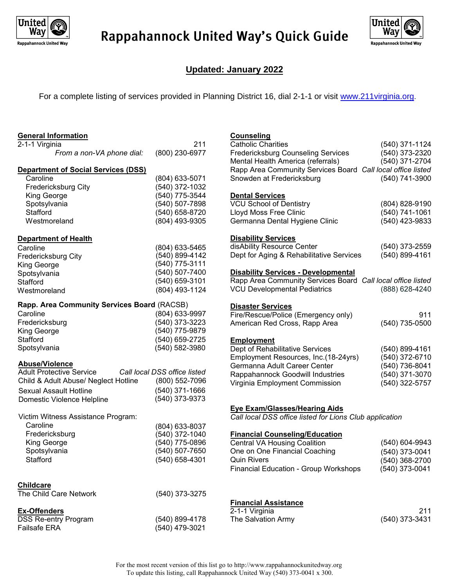

## Rappahannock United Way's Quick Guide



### **Updated: January 2022**

For a complete listing of services provided in Planning District 16, dial 2-1-1 or visit [www.211virginia.org](http://www.211virginia.org/).

| <b>General Information</b>                  |                              | Counseling                                                  |                |
|---------------------------------------------|------------------------------|-------------------------------------------------------------|----------------|
| 2-1-1 Virginia                              | 211                          | Catholic Charities                                          | (540) 371-1124 |
| From a non-VA phone dial:                   | (800) 230-6977               | <b>Fredericksburg Counseling Services</b>                   | (540) 373-2320 |
|                                             |                              | Mental Health America (referrals)                           | (540) 371-2704 |
| <b>Department of Social Services (DSS)</b>  |                              | Rapp Area Community Services Board Call local office listed |                |
| Caroline                                    | (804) 633-5071               | Snowden at Fredericksburg                                   | (540) 741-3900 |
| <b>Fredericksburg City</b>                  | (540) 372-1032               |                                                             |                |
| King George                                 | (540) 775-3544               | <b>Dental Services</b>                                      |                |
|                                             |                              | <b>VCU School of Dentistry</b>                              |                |
| Spotsylvania                                | (540) 507-7898               |                                                             | (804) 828-9190 |
| Stafford                                    | (540) 658-8720               | Lloyd Moss Free Clinic                                      | (540) 741-1061 |
| Westmoreland                                | (804) 493-9305               | Germanna Dental Hygiene Clinic                              | (540) 423-9833 |
| <b>Department of Health</b>                 |                              | <b>Disability Services</b>                                  |                |
| Caroline                                    | (804) 633-5465               | disAbility Resource Center                                  | (540) 373-2559 |
| <b>Fredericksburg City</b>                  | (540) 899-4142               | Dept for Aging & Rehabilitative Services                    | (540) 899-4161 |
| King George                                 | (540) 775-3111               |                                                             |                |
| Spotsylvania                                | (540) 507-7400               | <b>Disability Services - Developmental</b>                  |                |
| Stafford                                    | (540) 659-3101               | Rapp Area Community Services Board Call local office listed |                |
|                                             | (804) 493-1124               | <b>VCU Developmental Pediatrics</b>                         | (888) 628-4240 |
| Westmoreland                                |                              |                                                             |                |
| Rapp. Area Community Services Board (RACSB) |                              | <b>Disaster Services</b>                                    |                |
| Caroline                                    | (804) 633-9997               | Fire/Rescue/Police (Emergency only)                         | 911            |
| Fredericksburg                              | (540) 373-3223               | American Red Cross, Rapp Area                               | (540) 735-0500 |
| King George                                 | (540) 775-9879               |                                                             |                |
| Stafford                                    | (540) 659-2725               | <b>Employment</b>                                           |                |
| Spotsylvania                                | (540) 582-3980               | Dept of Rehabilitative Services                             | (540) 899-4161 |
|                                             |                              | Employment Resources, Inc.(18-24yrs)                        | (540) 372-6710 |
| <b>Abuse/Violence</b>                       |                              | Germanna Adult Career Center                                | (540) 736-8041 |
| <b>Adult Protective Service</b>             | Call local DSS office listed | Rappahannock Goodwill Industries                            | (540) 371-3070 |
| Child & Adult Abuse/ Neglect Hotline        | (800) 552-7096               | Virginia Employment Commission                              | (540) 322-5757 |
| <b>Sexual Assault Hotline</b>               | $(540)$ 371-1666             |                                                             |                |
| Domestic Violence Helpline                  | (540) 373-9373               |                                                             |                |
|                                             |                              | <b>Eye Exam/Glasses/Hearing Aids</b>                        |                |
| Victim Witness Assistance Program:          |                              | Call local DSS office listed for Lions Club application     |                |
| Caroline                                    | (804) 633-8037               |                                                             |                |
| Fredericksburg                              | (540) 372-1040               | <b>Financial Counseling/Education</b>                       |                |
| King George                                 | (540) 775-0896               | <b>Central VA Housing Coalition</b>                         | (540) 604-9943 |
| Spotsylvania                                | (540) 507-7650               | One on One Financial Coaching                               | (540) 373-0041 |
| Stafford                                    | (540) 658-4301               | <b>Quin Rivers</b>                                          | (540) 368-2700 |
|                                             |                              | Financial Education - Group Workshops                       | (540) 373-0041 |
|                                             |                              |                                                             |                |
| <b>Childcare</b>                            |                              |                                                             |                |
| The Child Care Network                      | (540) 373-3275               |                                                             |                |
|                                             |                              | <b>Financial Assistance</b>                                 |                |
| <b>Ex-Offenders</b>                         |                              | 2-1-1 Virginia                                              | 211            |
| <b>DSS Re-entry Program</b>                 | (540) 899-4178               | The Salvation Army                                          | (540) 373-3431 |
| Failsafe ERA                                | (540) 479-3021               |                                                             |                |
|                                             |                              |                                                             |                |